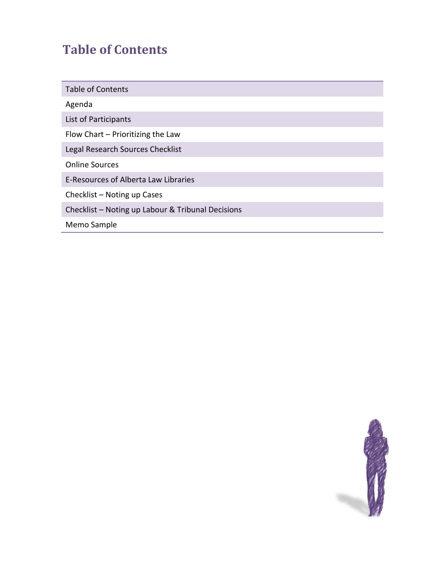# **Table of Contents**

| <b>Table of Contents</b>                          |
|---------------------------------------------------|
| Agenda                                            |
| List of Participants                              |
| Flow Chart - Prioritizing the Law                 |
| Legal Research Sources Checklist                  |
| <b>Online Sources</b>                             |
| E-Resources of Alberta Law Libraries              |
| Checklist - Noting up Cases                       |
| Checklist - Noting up Labour & Tribunal Decisions |
| Memo Sample                                       |

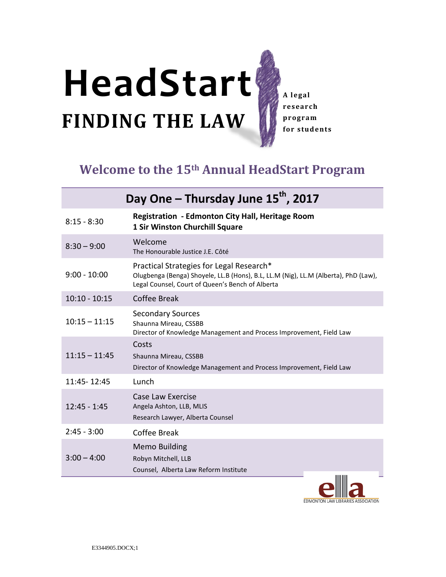# **FINDING THE LAW HeadStart**

**A legal research program for students**

# **Welcome to the 15th Annual HeadStart Program**

| Day One - Thursday June 15 <sup>th</sup> , 2017 |                                                                                                                                                                                     |  |
|-------------------------------------------------|-------------------------------------------------------------------------------------------------------------------------------------------------------------------------------------|--|
| $8:15 - 8:30$                                   | <b>Registration - Edmonton City Hall, Heritage Room</b><br>1 Sir Winston Churchill Square                                                                                           |  |
| $8:30 - 9:00$                                   | Welcome<br>The Honourable Justice J.E. Côté                                                                                                                                         |  |
| $9:00 - 10:00$                                  | Practical Strategies for Legal Research*<br>Olugbenga (Benga) Shoyele, LL.B (Hons), B.L, LL.M (Nig), LL.M (Alberta), PhD (Law),<br>Legal Counsel, Court of Queen's Bench of Alberta |  |
| $10:10 - 10:15$                                 | Coffee Break                                                                                                                                                                        |  |
| $10:15 - 11:15$                                 | <b>Secondary Sources</b><br>Shaunna Mireau, CSSBB<br>Director of Knowledge Management and Process Improvement, Field Law                                                            |  |
| $11:15 - 11:45$                                 | Costs<br>Shaunna Mireau, CSSBB<br>Director of Knowledge Management and Process Improvement, Field Law                                                                               |  |
| 11:45 - 12:45                                   | Lunch                                                                                                                                                                               |  |
| $12:45 - 1:45$                                  | Case Law Exercise<br>Angela Ashton, LLB, MLIS<br>Research Lawyer, Alberta Counsel                                                                                                   |  |
| $2:45 - 3:00$                                   | <b>Coffee Break</b>                                                                                                                                                                 |  |
| $3:00 - 4:00$                                   | <b>Memo Building</b><br>Robyn Mitchell, LLB<br>Counsel, Alberta Law Reform Institute                                                                                                |  |

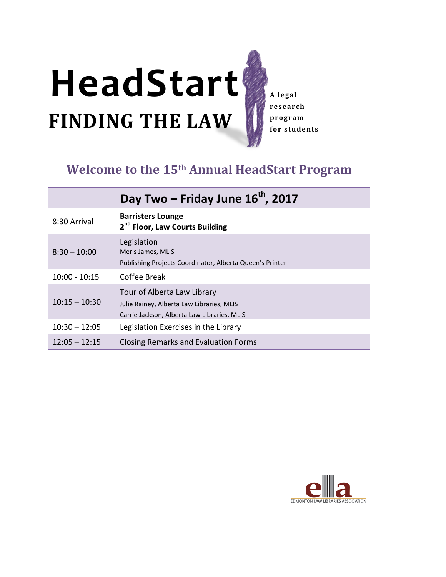# **FINDING THE LAW HeadStart**

**A legal research program for students**

# **Welcome to the 15th Annual HeadStart Program**

# Day Two – Friday June 16<sup>th</sup>, 2017 8:30 Arrival **Barristers Lounge 2nd Floor, Law Courts Building** Legislation

| $8:30 - 10:00$  | Meris James, MLIS<br>Publishing Projects Coordinator, Alberta Queen's Printer                                           |
|-----------------|-------------------------------------------------------------------------------------------------------------------------|
| $10:00 - 10:15$ | Coffee Break                                                                                                            |
| $10:15 - 10:30$ | Tour of Alberta Law Library<br>Julie Rainey, Alberta Law Libraries, MLIS<br>Carrie Jackson, Alberta Law Libraries, MLIS |
| $10:30 - 12:05$ | Legislation Exercises in the Library                                                                                    |
| $12:05 - 12:15$ | Closing Remarks and Evaluation Forms                                                                                    |

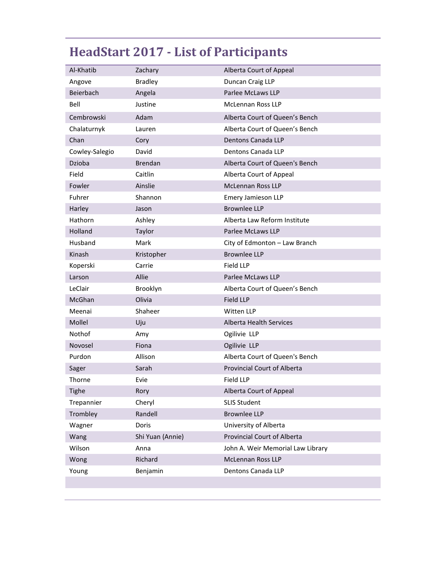# **HeadStart 2017 - List of Participants**

| Al-Khatib      | Zachary          | Alberta Court of Appeal            |
|----------------|------------------|------------------------------------|
| Angove         | <b>Bradley</b>   | Duncan Craig LLP                   |
| Beierbach      | Angela           | Parlee McLaws LLP                  |
| Bell           | Justine          | <b>McLennan Ross LLP</b>           |
| Cembrowski     | Adam             | Alberta Court of Queen's Bench     |
| Chalaturnyk    | Lauren           | Alberta Court of Queen's Bench     |
| Chan           | Cory             | Dentons Canada LLP                 |
| Cowley-Salegio | David            | Dentons Canada LLP                 |
| Dzioba         | <b>Brendan</b>   | Alberta Court of Queen's Bench     |
| Field          | Caitlin          | Alberta Court of Appeal            |
| Fowler         | Ainslie          | <b>McLennan Ross LLP</b>           |
| Fuhrer         | Shannon          | Emery Jamieson LLP                 |
| Harley         | Jason            | <b>Brownlee LLP</b>                |
| <b>Hathorn</b> | Ashley           | Alberta Law Reform Institute       |
| Holland        | Taylor           | Parlee McLaws LLP                  |
| Husband        | Mark             | City of Edmonton - Law Branch      |
| Kinash         | Kristopher       | <b>Brownlee LLP</b>                |
| Koperski       | Carrie           | <b>Field LLP</b>                   |
| Larson         | Allie            | Parlee McLaws LLP                  |
| LeClair        | Brooklyn         | Alberta Court of Queen's Bench     |
| McGhan         | Olivia           | Field LLP                          |
| Meenai         | Shaheer          | Witten LLP                         |
| Mollel         | Uju              | <b>Alberta Health Services</b>     |
| Nothof         | Amy              | Ogilivie LLP                       |
| Novosel        | Fiona            | Ogilivie LLP                       |
| Purdon         | Allison          | Alberta Court of Queen's Bench     |
| Sager          | Sarah            | <b>Provincial Court of Alberta</b> |
| Thorne         | Evie             | <b>Field LLP</b>                   |
| <b>Tighe</b>   | Rory             | Alberta Court of Appeal            |
| Trepannier     | Cheryl           | <b>SLIS Student</b>                |
| Trombley       | Randell          | <b>Brownlee LLP</b>                |
| Wagner         | Doris            | University of Alberta              |
| Wang           | Shi Yuan (Annie) | <b>Provincial Court of Alberta</b> |
| Wilson         | Anna             | John A. Weir Memorial Law Library  |
| Wong           | Richard          | <b>McLennan Ross LLP</b>           |
| Young          | Benjamin         | Dentons Canada LLP                 |
|                |                  |                                    |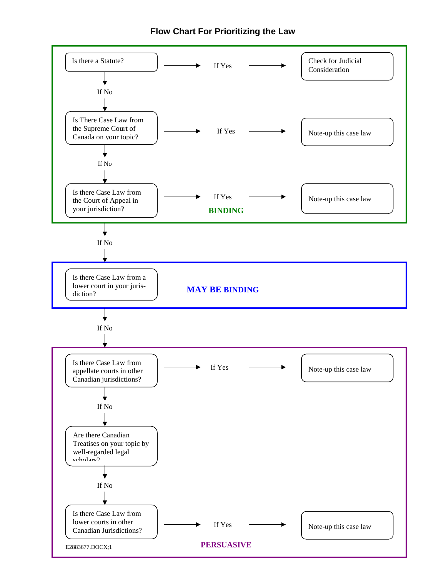#### **Flow Chart For Prioritizing the Law**

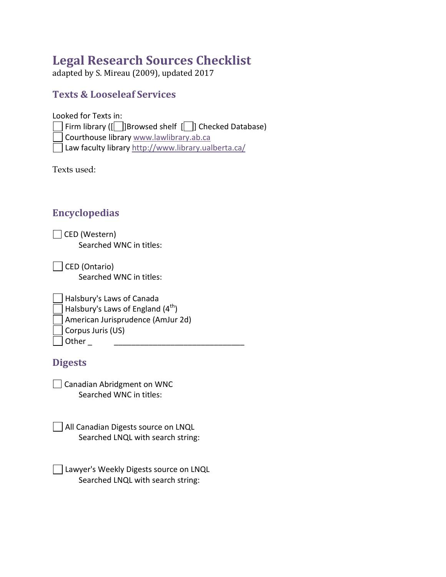# **Legal Research Sources Checklist**

adapted by S. Mireau (2009), updated 2017

## **Texts & Looseleaf Services**

Looked for Texts in:  $\Box$  Firm library ([ $\Box$ ]Browsed shelf [ $\Box$ ] Checked Database) Courthouse library www.lawlibrary.ab.ca Law faculty library<http://www.library.ualberta.ca/>

Texts used:

## **Encyclopedias**

| □ CED (Western)         |
|-------------------------|
| Searched WNC in titles: |

| CED (Ontario)           |
|-------------------------|
| Searched WNC in titles: |

| Halsbury's Laws of Canada                     |
|-----------------------------------------------|
| Halsbury's Laws of England (4 <sup>th</sup> ) |
| American Jurisprudence (AmJur 2d)             |
| Corpus Juris (US)                             |
| Other                                         |

## **Digests**

| $\Box$ Canadian Abridgment on WNC |
|-----------------------------------|
| Searched WNC in titles:           |

| All Canadian Digests source on LNQL |
|-------------------------------------|
| Searched LNQL with search string:   |

| Lawyer's Weekly Digests source on LNQL |
|----------------------------------------|
| Searched LNQL with search string:      |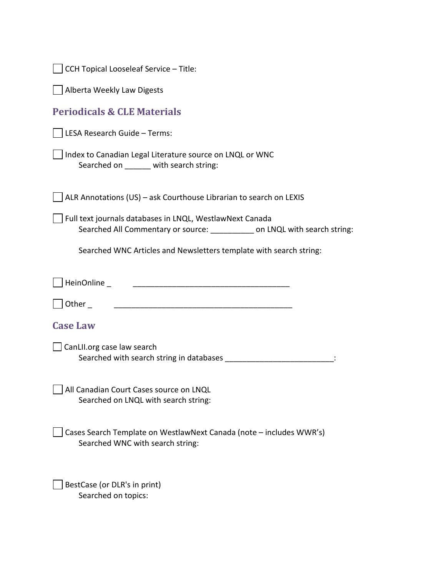| CCH Topical Looseleaf Service - Title:                                                                                     |
|----------------------------------------------------------------------------------------------------------------------------|
| Alberta Weekly Law Digests                                                                                                 |
| <b>Periodicals &amp; CLE Materials</b>                                                                                     |
| LESA Research Guide - Terms:                                                                                               |
| Index to Canadian Legal Literature source on LNQL or WNC<br>Searched on ______ with search string:                         |
| ALR Annotations (US) - ask Courthouse Librarian to search on LEXIS                                                         |
| Full text journals databases in LNQL, WestlawNext Canada<br>Searched All Commentary or source: on LNQL with search string: |
| Searched WNC Articles and Newsletters template with search string:                                                         |
| HeinOnline_                                                                                                                |
| Other                                                                                                                      |
| <b>Case Law</b>                                                                                                            |
| CanLII.org case law search                                                                                                 |
| All Canadian Court Cases source on LNQL<br>Searched on LNQL with search string:                                            |
| Cases Search Template on WestlawNext Canada (note - includes WWR's)<br>Searched WNC with search string:                    |
| BestCase (or DLR's in print)<br>Searched on topics:                                                                        |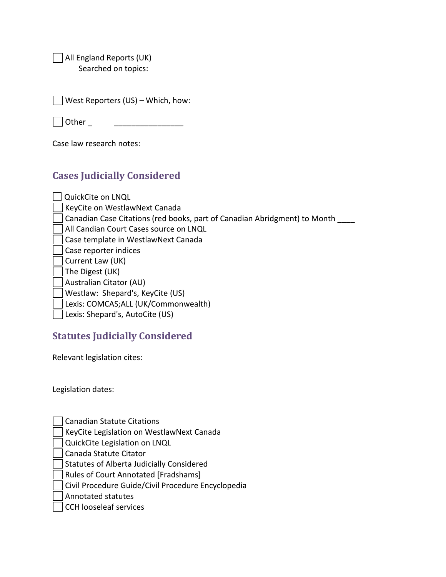All England Reports (UK) Searched on topics:

| $\Box$ West Reporters (US) – Which, how: |  |
|------------------------------------------|--|
|------------------------------------------|--|

| l Other |  |
|---------|--|
|         |  |

Case law research notes:

## **Cases Judicially Considered**

| QuickCite on LNQL                                                         |
|---------------------------------------------------------------------------|
| KeyCite on WestlawNext Canada                                             |
| Canadian Case Citations (red books, part of Canadian Abridgment) to Month |
| All Candian Court Cases source on LNQL                                    |
| Case template in WestlawNext Canada                                       |
| Case reporter indices                                                     |
| Current Law (UK)                                                          |
| The Digest (UK)                                                           |
| Australian Citator (AU)                                                   |
| Westlaw: Shepard's, KeyCite (US)                                          |
| Lexis: COMCAS;ALL (UK/Commonwealth)                                       |
| Lexis: Shepard's, AutoCite (US)                                           |

## **Statutes Judicially Considered**

Relevant legislation cites:

Legislation dates:

KeyCite Legislation on WestlawNext Canada

QuickCite Legislation on LNQL

Canada Statute Citator

Statutes of Alberta Judicially Considered

Rules of Court Annotated [Fradshams]

Civil Procedure Guide/Civil Procedure Encyclopedia

Annotated statutes

CCH looseleaf services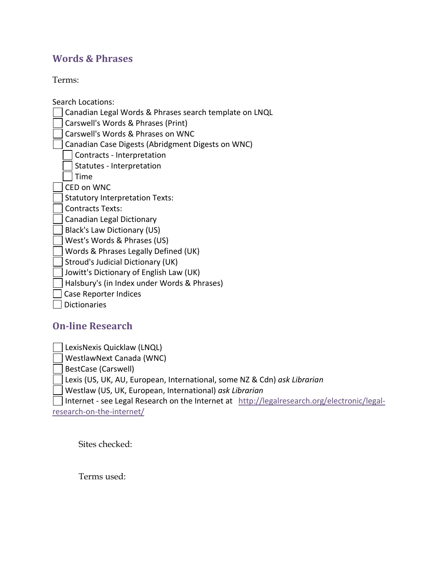## **Words & Phrases**

Terms:

Search Locations:

Canadian Legal Words & Phrases search template on LNQL

Carswell's Words & Phrases (Print)

Carswell's Words & Phrases on WNC

Canadian Case Digests (Abridgment Digests on WNC)

Contracts - Interpretation

Statutes - Interpretation

 $\sqsupset$  Time

CED on WNC

Statutory Interpretation Texts:

Contracts Texts:

Canadian Legal Dictionary

Black's Law Dictionary (US)

West's Words & Phrases (US)

Words & Phrases Legally Defined (UK)

Stroud's Judicial Dictionary (UK)

Jowitt's Dictionary of English Law (UK)

Halsbury's (in Index under Words & Phrases)

Case Reporter Indices

Dictionaries

## **On-line Research**

LexisNexis Quicklaw (LNQL)

WestlawNext Canada (WNC)

BestCase (Carswell)

Lexis (US, UK, AU, European, International, some NZ & Cdn) *ask Librarian* 

Westlaw (US, UK, European, International) *ask Librarian* 

Internet - see Legal Research on the Internet at [http://legalresearch.org/electronic/legal](http://legalresearch.org/electronic/legal-research-on-the-internet/)[research-on-the-internet/](http://legalresearch.org/electronic/legal-research-on-the-internet/)

Sites checked:

Terms used: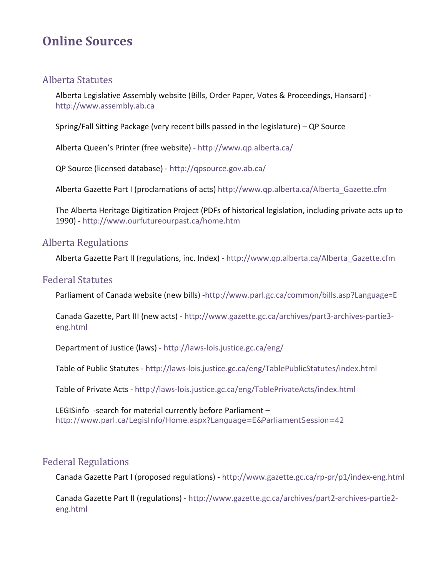# **Online Sources**

## Alberta Statutes

Alberta Legislative Assembly website (Bills, Order Paper, Votes & Proceedings, Hansard) [http://www.assembly.ab.ca](http://www.assembly.ab.ca/)

Spring/Fall Sitting Package (very recent bills passed in the legislature) – QP Source

Alberta Queen's Printer (free website) -<http://www.qp.alberta.ca/>

QP Source (licensed database) -<http://qpsource.gov.ab.ca/>

Alberta Gazette Part I (proclamations of acts) [http://www.qp.alberta.ca/Alberta\\_Gazette.cfm](http://www.qp.alberta.ca/Alberta_Gazette.cfm)

The Alberta Heritage Digitization Project (PDFs of historical legislation, including private acts up to 1990) *-* <http://www.ourfutureourpast.ca/home.htm>

#### Alberta Regulations

Alberta Gazette Part II (regulations, inc. Index) - [http://www.qp.alberta.ca/Alberta\\_Gazette.cfm](http://www.qp.alberta.ca/Alberta_Gazette.cfm)

#### Federal Statutes

Parliament of Canada website (new bills) [-http://www.parl.gc.ca/common/bills.asp?Language=E](http://www.parl.gc.ca/common/bills.asp?Language=E)

Canada Gazette, Part III (new acts) - [http://www.gazette.gc.ca/archives/part3-archives-partie3](http://www.gazette.gc.ca/archives/part3-archives-partie3-eng.html) [eng.html](http://www.gazette.gc.ca/archives/part3-archives-partie3-eng.html)

Department of Justice (laws) -<http://laws-lois.justice.gc.ca/eng/>

Table of Public Statutes -<http://laws-lois.justice.gc.ca/eng/TablePublicStatutes/index.html>

Table of Private Acts -<http://laws-lois.justice.gc.ca/eng/TablePrivateActs/index.html>

LEGISinfo -search for material currently before Parliament – <http://www.parl.ca/LegisInfo/Home.aspx?Language=E&ParliamentSession=42>

## Federal Regulations

Canada Gazette Part I (proposed regulations) -<http://www.gazette.gc.ca/rp-pr/p1/index-eng.html>

Canada Gazette Part II (regulations) [- http://www.gazette.gc.ca/archives/part2-archives-partie2](http://www.gazette.gc.ca/archives/part2-archives-partie2-eng.html) [eng.html](http://www.gazette.gc.ca/archives/part2-archives-partie2-eng.html)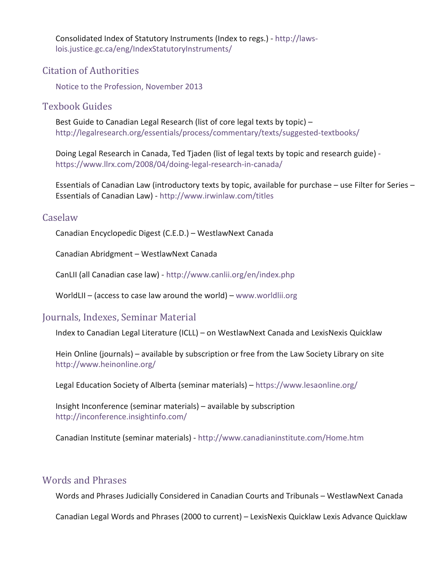Consolidated Index of Statutory Instruments (Index to regs.) [- http://laws](http://laws-lois.justice.gc.ca/eng/IndexStatutoryInstruments/)[lois.justice.gc.ca/eng/IndexStatutoryInstruments/](http://laws-lois.justice.gc.ca/eng/IndexStatutoryInstruments/)

## Citation of Authorities

[Notice to the Profession, November 2013](https://albertacourts.ca/docs/default-source/Court-of-Queen)

## Texbook Guides

Best Guide to Canadian Legal Research (list of core legal texts by topic) – <http://legalresearch.org/essentials/process/commentary/texts/suggested-textbooks/>

Doing Legal Research in Canada, Ted Tjaden (list of legal texts by topic and research guide) <https://www.llrx.com/2008/04/doing-legal-research-in-canada/>

Essentials of Canadian Law (introductory texts by topic, available for purchase – use Filter for Series – Essentials of Canadian Law) -<http://www.irwinlaw.com/titles>

#### Caselaw

Canadian Encyclopedic Digest (C.E.D.) – WestlawNext Canada

Canadian Abridgment – WestlawNext Canada

CanLII (all Canadian case law) -<http://www.canlii.org/en/index.php>

WorldLII – (access to case law around the world) – [www.worldlii.org](http://www.worldlii.org/)

## Journals, Indexes, Seminar Material

Index to Canadian Legal Literature (ICLL) – on WestlawNext Canada and LexisNexis Quicklaw

Hein Online (journals) – available by subscription or free from the Law Society Library on site <http://www.heinonline.org/>

Legal Education Society of Alberta (seminar materials) –<https://www.lesaonline.org/>

Insight Inconference (seminar materials) – available by subscription [http://inconference.insightinfo.com/](http://inconference.insightinfo.com/Inconference/)

Canadian Institute (seminar materials) -<http://www.canadianinstitute.com/Home.htm>

## Words and Phrases

Words and Phrases Judicially Considered in Canadian Courts and Tribunals – WestlawNext Canada

Canadian Legal Words and Phrases (2000 to current) – LexisNexis Quicklaw Lexis Advance Quicklaw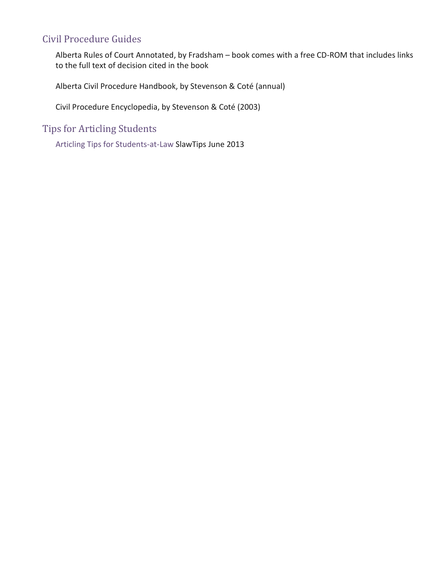## Civil Procedure Guides

Alberta Rules of Court Annotated, by Fradsham – book comes with a free CD-ROM that includes links to the full text of decision cited in the book

Alberta Civil Procedure Handbook, by Stevenson & Coté (annual)

Civil Procedure Encyclopedia, by Stevenson & Coté (2003)

Tips for Articling Students

[Articling Tips for Students-at-Law](http://tips.slaw.ca/2013/practice/articling-tips-for-students-at-law/) SlawTips June 2013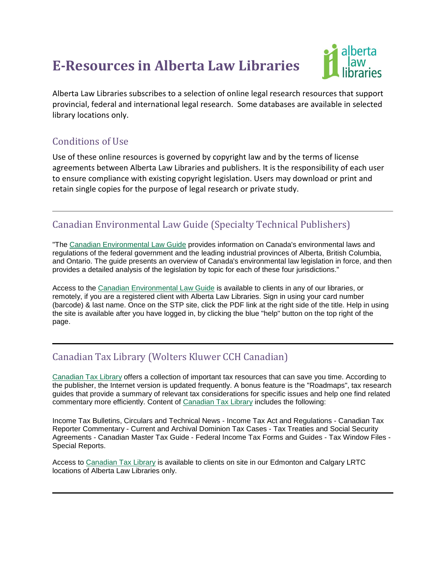# **E-Resources in Alberta Law Libraries**



Alberta Law Libraries subscribes to a selection of online legal research resources that support provincial, federal and international legal research. Some databases are available in selected library locations only.

## Conditions of Use

Use of these online resources is governed by copyright law and by the terms of license agreements between Alberta Law Libraries and publishers. It is the responsibility of each user to ensure compliance with existing copyright legislation. Users may download or print and retain single copies for the purpose of legal research or private study.

## Canadian Environmental Law Guide (Specialty Technical Publishers)

"The [Canadian Environmental Law Guide](http://db.lawlibrary.ab.ca/login?url=http://stponline.stpub.com/library_access.asp?c=3155) provides information on Canada's environmental laws and regulations of the federal government and the leading industrial provinces of Alberta, British Columbia, and Ontario. The guide presents an overview of Canada's environmental law legislation in force, and then provides a detailed analysis of the legislation by topic for each of these four jurisdictions."

Access to the [Canadian Environmental Law Guide](http://db.lawlibrary.ab.ca/login?url=http://stponline.stpub.com/library_access.asp?c=3155) is available to clients in any of our libraries, or remotely, if you are a registered client with Alberta Law Libraries. Sign in using your card number (barcode) & last name. Once on the STP site, click the PDF link at the right side of the title. Help in using the site is available after you have logged in, by clicking the blue "help" button on the top right of the page.

## Canadian Tax Library (Wolters Kluwer CCH Canadian)

[Canadian Tax Library](http://db.lawlibrary.ab.ca/login?url=https://intelliconnect.ca/scion/auth.jsp?authcpid=WKCA-TAL-IC&AUTH_REDIRECT_URL=http%3A%2F%2Fintelliconnect.ca%2Fscion%2Fsecure%2Findex.jsp) offers a collection of important tax resources that can save you time. According to the publisher, the Internet version is updated frequently. A bonus feature is the "Roadmaps", tax research guides that provide a summary of relevant tax considerations for specific issues and help one find related commentary more efficiently. Content of [Canadian Tax Library](http://db.lawlibrary.ab.ca/login?url=https://intelliconnect.ca/scion/auth.jsp?authcpid=WKCA-TAL-IC&AUTH_REDIRECT_URL=http%3A%2F%2Fintelliconnect.ca%2Fscion%2Fsecure%2Findex.jsp) includes the following:

Income Tax Bulletins, Circulars and Technical News - Income Tax Act and Regulations - Canadian Tax Reporter Commentary - Current and Archival Dominion Tax Cases - Tax Treaties and Social Security Agreements - Canadian Master Tax Guide - Federal Income Tax Forms and Guides - Tax Window Files - Special Reports.

Access to [Canadian Tax Library](http://db.lawlibrary.ab.ca/login?url=https://intelliconnect.ca/scion/auth.jsp?authcpid=WKCA-TAL-IC&AUTH_REDIRECT_URL=http%3A//intelliconnect.ca/scion/secure/index.jsp) is available to clients on site in our Edmonton and Calgary LRTC locations of Alberta Law Libraries only.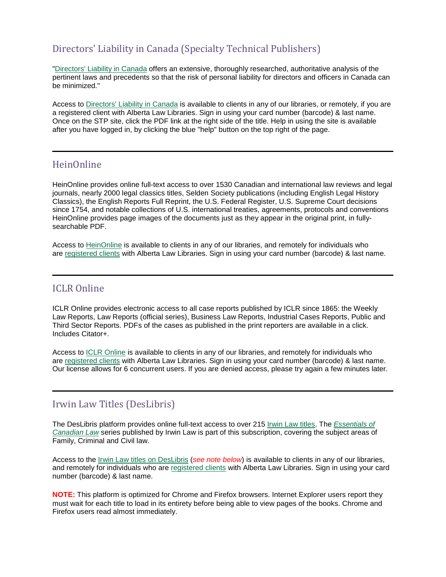## Directors' Liability in Canada (Specialty Technical Publishers)

["Directors' Liability in Canada](http://db.lawlibrary.ab.ca/login?url=http://stponline.stpub.com/library_access.asp?c=3155) offers an extensive, thoroughly researched, authoritative analysis of the pertinent laws and precedents so that the risk of personal liability for directors and officers in Canada can be minimized."

Access to [Directors' Liability in Canada](http://db.lawlibrary.ab.ca/login?url=http://stponline.stpub.com/library_access.asp?c=3155) is available to clients in any of our libraries, or remotely, if you are a registered client with Alberta Law Libraries. Sign in using your card number (barcode) & last name. Once on the STP site, click the PDF link at the right side of the title. Help in using the site is available after you have logged in, by clicking the blue "help" button on the top right of the page.

## HeinOnline

HeinOnline provides online full-text access to over 1530 Canadian and international law reviews and legal journals, nearly 2000 legal classics titles, Selden Society publications (including English Legal History Classics), the English Reports Full Reprint, the U.S. Federal Register, U.S. Supreme Court decisions since 1754, and notable collections of U.S. international treaties, agreements, protocols and conventions HeinOnline provides page images of the documents just as they appear in the original print, in fullysearchable PDF.

Access to [HeinOnline](http://db.lawlibrary.ab.ca/login?url=http://www.heinonline.org/HOL/Welcome) is available to clients in any of our libraries, and remotely for individuals who are [registered clients](https://lawlibrary.ab.ca/apply-for-a-library-card.html) with Alberta Law Libraries. Sign in using your card number (barcode) & last name.

#### ICLR Online

ICLR Online provides electronic access to all case reports published by ICLR since 1865: the Weekly Law Reports, Law Reports (official series), Business Law Reports, Industrial Cases Reports, Public and Third Sector Reports. PDFs of the cases as published in the print reporters are available in a click. Includes Citator+.

Access to [ICLR Online](http://db.lawlibrary.ab.ca/login?url=http://cases.iclr.co.uk/Subscr/Welcome.aspx) is available to clients in any of our libraries, and remotely for individuals who are [registered clients](https://lawlibrary.ab.ca/apply-for-a-library-card.html) with Alberta Law Libraries. Sign in using your card number (barcode) & last name. Our license allows for 6 concurrent users. If you are denied access, please try again a few minutes later.

## Irwin Law Titles (DesLibris)

The DesLibris platform provides online full-text access to over 215 [Irwin Law titles.](http://deslibris.ca.db.lawlibrary.ab.ca/en-us/search.aspx%23f_special=IRW&sort=pubdate-desc) The *[Essentials of](http://deslibris.ca.db.lawlibrary.ab.ca/en-us/search.aspx%23f_special=IRW&f_serie=Essentials%20of%20Canadian%20Law&sort=pubdate-desc)  [Canadian Law](http://deslibris.ca.db.lawlibrary.ab.ca/en-us/search.aspx%23f_special=IRW&f_serie=Essentials%20of%20Canadian%20Law&sort=pubdate-desc)* series published by Irwin Law is part of this subscription, covering the subject areas of Family, Criminal and Civil law.

Access to the [Irwin Law titles on DesLibris](http://db.lawlibrary.ab.ca/login?url=http://deslibris.ca) (*see note below*) is available to clients in any of our libraries, and remotely for individuals who are [registered clients](https://lawlibrary.ab.ca/apply-for-a-library-card.html) with Alberta Law Libraries. Sign in using your card number (barcode) & last name.

**NOTE:** This platform is optimized for Chrome and Firefox browsers. Internet Explorer users report they must wait for each title to load in its entirety before being able to view pages of the books. Chrome and Firefox users read almost immediately.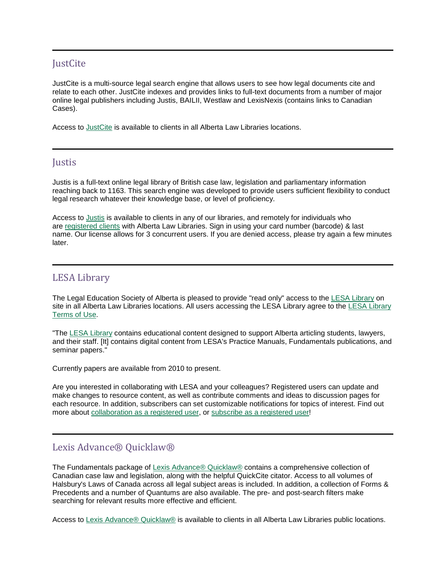## **JustCite**

JustCite is a multi-source legal search engine that allows users to see how legal documents cite and relate to each other. JustCite indexes and provides links to full-text documents from a number of major online legal publishers including Justis, BAILII, Westlaw and LexisNexis (contains links to Canadian Cases).

Access to [JustCite](http://db.lawlibrary.ab.ca/login?url=http://www.justcite.com/) is available to clients in all Alberta Law Libraries locations.

#### **Justis**

Justis is a full-text online legal library of British case law, legislation and parliamentary information reaching back to 1163. This search engine was developed to provide users sufficient flexibility to conduct legal research whatever their knowledge base, or level of proficiency.

Access to [Justis](http://www.justis.com.db.lawlibrary.ab.ca/Search.aspx?search=quick) is available to clients in any of our libraries, and remotely for individuals who are [registered clients](https://lawlibrary.ab.ca/apply-for-a-library-card.html) with Alberta Law Libraries. Sign in using your card number (barcode) & last name. Our license allows for 3 concurrent users. If you are denied access, please try again a few minutes later.

## LESA Library

The Legal Education Society of Alberta is pleased to provide "read only" access to the [LESA Library](http://db.lawlibrary.ab.ca/login?url=http://library.lesaonline.org/wiki/index.php?title=Home) on site in all Alberta Law Libraries locations. All users accessing the LESA Library agree to the [LESA Library](http://library.lesaonline.org/wiki/index.php?title=LESA_Library_Terms_of_Use)  [Terms of Use.](http://library.lesaonline.org/wiki/index.php?title=LESA_Library_Terms_of_Use)

"The LESA [Library](http://db.lawlibrary.ab.ca/login?url=http://library.lesaonline.org/wiki/index.php?title=Home) contains educational content designed to support Alberta articling students, lawyers, and their staff. [It] contains digital content from LESA's Practice Manuals, Fundamentals publications, and seminar papers."

Currently papers are available from 2010 to present.

Are you interested in collaborating with LESA and your colleagues? Registered users can update and make changes to resource content, as well as contribute comments and ideas to discussion pages for each resource. In addition, subscribers can set customizable notifications for topics of interest. Find out more about [collaboration as a registered user,](http://library.lesaonline.org/wiki/index.php?title=About_the_LESA_Library) or [subscribe as a registered user!](https://www.lesaonline.org/comersus8f/store/comersus_viewitem.asp?idProduct=34155506)

## Lexis Advance® Quicklaw®

The Fundamentals package of [Lexis Advance® Quicklaw®](http://db.lawlibrary.ab.ca/login?url=http://lexisadvancequicklaw.ca/?identityprofileid=RVTW9J38561) contains a comprehensive collection of Canadian case law and legislation, along with the helpful QuickCite citator. Access to all volumes of Halsbury's Laws of Canada across all legal subject areas is included. In addition, a collection of Forms & Precedents and a number of Quantums are also available. The pre- and post-search filters make searching for relevant results more effective and efficient.

Access to [Lexis Advance® Quicklaw®](http://db.lawlibrary.ab.ca/login?url=http://lexisadvancequicklaw.ca/?identityprofileid=RVTW9J38561) is available to clients in all Alberta Law Libraries public locations.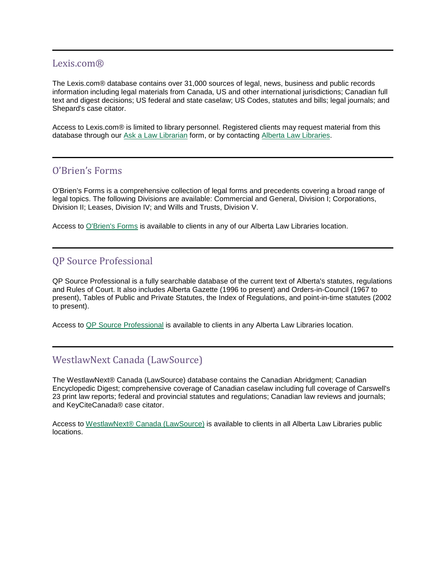#### Lexis.com®

The Lexis.com® database contains over 31,000 sources of legal, news, business and public records information including legal materials from Canada, US and other international jurisdictions; Canadian full text and digest decisions; US federal and state caselaw; US Codes, statutes and bills; legal journals; and Shepard's case citator.

Access to Lexis.com® is limited to library personnel. Registered clients may request material from this database through our [Ask a Law Librarian](https://www.lawlibrary.ab.ca/ask-a-lawlibrarian.html) form, or by contacting [Alberta Law Libraries.](https://www.lawlibrary.ab.ca/our-libraries.html)

#### O'Brien's Forms

O'Brien's Forms is a comprehensive collection of legal forms and precedents covering a broad range of legal topics. The following Divisions are available: Commercial and General, Division I; Corporations, Division II; Leases, Division IV; and Wills and Trusts, Division V.

Access to [O'Brien's Forms](http://db.lawlibrary.ab.ca/login?url=http://www.obriensforms.com/) is available to clients in any of our Alberta Law Libraries location.

#### QP Source Professional

QP Source Professional is a fully searchable database of the current text of Alberta's statutes, regulations and Rules of Court. It also includes Alberta Gazette (1996 to present) and Orders-in-Council (1967 to present), Tables of Public and Private Statutes, the Index of Regulations, and point-in-time statutes (2002 to present).

Access to [QP Source Professional](http://db.lawlibrary.ab.ca/login?url=http://qpsource.gov.ab.ca/index.cfm?IPLogin=IP) is available to clients in any Alberta Law Libraries location.

## WestlawNext Canada (LawSource)

The WestlawNext® Canada (LawSource) database contains the Canadian Abridgment; Canadian Encyclopedic Digest; comprehensive coverage of Canadian caselaw including full coverage of Carswell's 23 print law reports; federal and provincial statutes and regulations; Canadian law reviews and journals; and KeyCiteCanada® case citator.

Access to [WestlawNext® Canada \(LawSource\)](http://db.lawlibrary.ab.ca/login?url=https://nextcanada.westlaw.com/search/home.html?sp=CRSW_LSofAlberta) is available to clients in all Alberta Law Libraries public locations.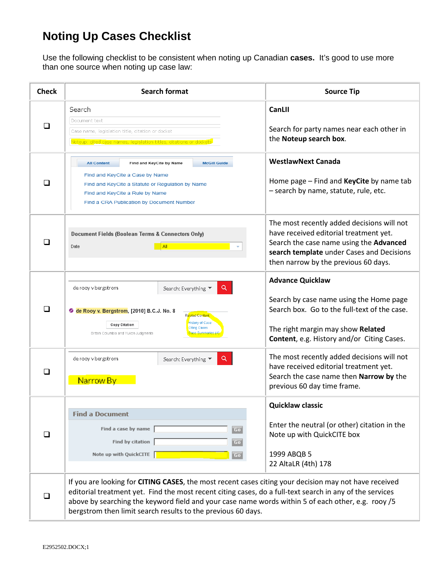# **Noting Up Cases Checklist**

Use the following checklist to be consistent when noting up Canadian **cases.** It's good to use more than one source when noting up case law:

| <b>Check</b> | <b>Search format</b>                                                                                                                                                                                                                                                                                                                                                                    | <b>Source Tip</b>                                                                                                                                                                                                    |
|--------------|-----------------------------------------------------------------------------------------------------------------------------------------------------------------------------------------------------------------------------------------------------------------------------------------------------------------------------------------------------------------------------------------|----------------------------------------------------------------------------------------------------------------------------------------------------------------------------------------------------------------------|
| $\Box$       | Search<br>Document text<br>Case name, legislation title, citation or docket<br>Noteup: cited case names, legislation titles, citations or dockets                                                                                                                                                                                                                                       | CanLII<br>Search for party names near each other in<br>the Noteup search box.                                                                                                                                        |
| □            | <b>All Content</b><br>Find and KeyCite by Name<br><b>McGill Guide</b><br>Find and KeyCite a Case by Name<br>Find and KeyCite a Statute or Regulation by Name<br>Find and KeyCite a Rule by Name<br>Find a CRA Publication by Document Number                                                                                                                                            | <b>WestlawNext Canada</b><br>Home page $-$ Find and KeyCite by name tab<br>- search by name, statute, rule, etc.                                                                                                     |
| □            | Document Fields (Boolean Terms & Connectors Only)<br>AII<br>Date                                                                                                                                                                                                                                                                                                                        | The most recently added decisions will not<br>have received editorial treatment yet.<br>Search the case name using the Advanced<br>search template under Cases and Decisions<br>then narrow by the previous 60 days. |
| □            | Q<br>de rooy v bergstrom<br>Search: Everything ▼<br>C de Rooy v. Bergstrom, [2010] B.C.J. No. 8<br>Related Content<br>History of Case<br>Copy Citation<br><b>Citing Cases</b><br><b>Case Summaries (4</b><br>British Columbia and Yukon Judgments                                                                                                                                       | <b>Advance Quicklaw</b><br>Search by case name using the Home page<br>Search box. Go to the full-text of the case.<br>The right margin may show Related<br>Content, e.g. History and/or Citing Cases.                |
| □            | Q<br>de rooy v bergstrom<br>Search: Everything ▼<br>Narrow By                                                                                                                                                                                                                                                                                                                           | The most recently added decisions will not<br>have received editorial treatment yet.<br>Search the case name then Narrow by the<br>previous 60 day time frame.                                                       |
| $\Box$       | <b>Find a Document</b><br>Find a case by name<br>Go<br>Find by citation<br>Go<br>Note up with QuickCITE  <br>Go                                                                                                                                                                                                                                                                         | <b>Quicklaw classic</b><br>Enter the neutral (or other) citation in the<br>Note up with QuickCITE box<br>1999 ABQB 5<br>22 AltaLR (4th) 178                                                                          |
|              | If you are looking for CITING CASES, the most recent cases citing your decision may not have received<br>editorial treatment yet. Find the most recent citing cases, do a full-text search in any of the services<br>above by searching the keyword field and your case name words within 5 of each other, e.g. rooy /5<br>bergstrom then limit search results to the previous 60 days. |                                                                                                                                                                                                                      |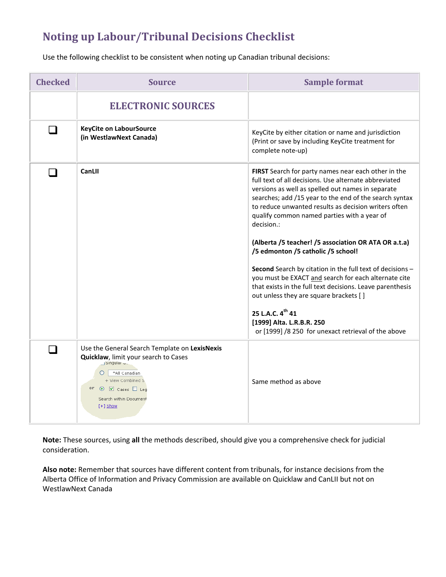# **Noting up Labour/Tribunal Decisions Checklist**

Use the following checklist to be consistent when noting up Canadian tribunal decisions:

| <b>Checked</b> | <b>Source</b>                                                                                                                                                                                                                    | <b>Sample format</b>                                                                                                                                                                                                                                                                                                                                                                                                                                                                                                                                                                                                                                                                                                                                                                                   |
|----------------|----------------------------------------------------------------------------------------------------------------------------------------------------------------------------------------------------------------------------------|--------------------------------------------------------------------------------------------------------------------------------------------------------------------------------------------------------------------------------------------------------------------------------------------------------------------------------------------------------------------------------------------------------------------------------------------------------------------------------------------------------------------------------------------------------------------------------------------------------------------------------------------------------------------------------------------------------------------------------------------------------------------------------------------------------|
|                | <b>ELECTRONIC SOURCES</b>                                                                                                                                                                                                        |                                                                                                                                                                                                                                                                                                                                                                                                                                                                                                                                                                                                                                                                                                                                                                                                        |
| n.             | <b>KeyCite on LabourSource</b><br>(in WestlawNext Canada)                                                                                                                                                                        | KeyCite by either citation or name and jurisdiction<br>(Print or save by including KeyCite treatment for<br>complete note-up)                                                                                                                                                                                                                                                                                                                                                                                                                                                                                                                                                                                                                                                                          |
| n l            | CanLII                                                                                                                                                                                                                           | FIRST Search for party names near each other in the<br>full text of all decisions. Use alternate abbreviated<br>versions as well as spelled out names in separate<br>searches; add /15 year to the end of the search syntax<br>to reduce unwanted results as decision writers often<br>qualify common named parties with a year of<br>decision.:<br>(Alberta /5 teacher! /5 association OR ATA OR a.t.a)<br>/5 edmonton /5 catholic /5 school!<br><b>Second</b> Search by citation in the full text of decisions -<br>you must be EXACT and search for each alternate cite<br>that exists in the full text decisions. Leave parenthesis<br>out unless they are square brackets [ ]<br>25 L.A.C. 4 <sup>th</sup> 41<br>[1999] Alta. L.R.B.R. 250<br>or [1999] /8 250 for unexact retrieval of the above |
|                | Use the General Search Template on LexisNexis<br>Quicklaw, limit your search to Cases<br>- Singular u.l<br>*All Canadian<br>+ View Combined S<br>or $\odot$ $\boxtimes$ Cases $\Box$ Leg<br>Search within Document<br>$[+]$ Show | Same method as above                                                                                                                                                                                                                                                                                                                                                                                                                                                                                                                                                                                                                                                                                                                                                                                   |

**Note:** These sources, using **all** the methods described, should give you a comprehensive check for judicial consideration.

**Also note:** Remember that sources have different content from tribunals, for instance decisions from the Alberta Office of Information and Privacy Commission are available on Quicklaw and CanLII but not on WestlawNext Canada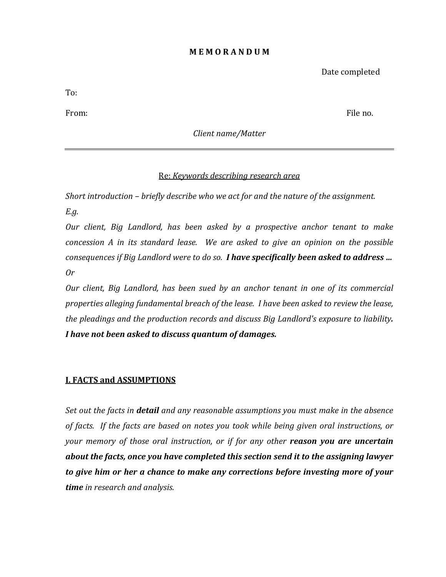#### **M E M O R A N D U M**

Date completed

To:

From: File no.

*Client name/Matter* 

## Re: *Keywords describing research area*

*Short introduction – briefly describe who we act for and the nature of the assignment. E.g.*

*Our client, Big Landlord, has been asked by a prospective anchor tenant to make concession A in its standard lease. We are asked to give an opinion on the possible consequences if Big Landlord were to do so. I have specifically been asked to address … Or*

*Our client, Big Landlord, has been sued by an anchor tenant in one of its commercial properties alleging fundamental breach of the lease. I have been asked to review the lease, the pleadings and the production records and discuss Big Landlord's exposure to liability. I have not been asked to discuss quantum of damages.* 

## **I. FACTS and ASSUMPTIONS**

*Set out the facts in detail and any reasonable assumptions you must make in the absence of facts. If the facts are based on notes you took while being given oral instructions, or your memory of those oral instruction, or if for any other reason you are uncertain about the facts, once you have completed this section send it to the assigning lawyer to give him or her a chance to make any corrections before investing more of your time in research and analysis.*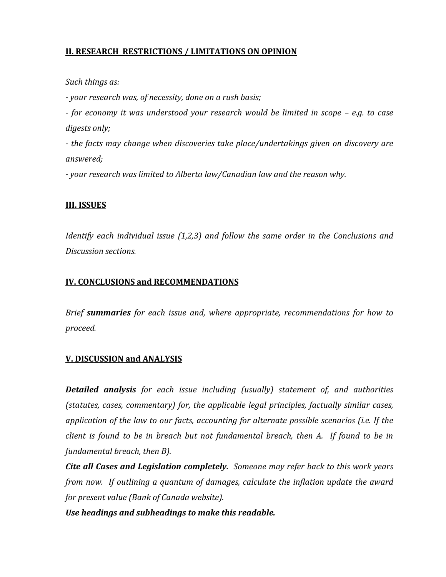## **II. RESEARCH RESTRICTIONS / LIMITATIONS ON OPINION**

*Such things as:*

*- your research was, of necessity, done on a rush basis;*

*- for economy it was understood your research would be limited in scope – e.g. to case digests only;*

*- the facts may change when discoveries take place/undertakings given on discovery are answered;*

*- your research was limited to Alberta law/Canadian law and the reason why.*

## **III. ISSUES**

*Identify each individual issue (1,2,3) and follow the same order in the Conclusions and Discussion sections.*

#### **IV. CONCLUSIONS and RECOMMENDATIONS**

*Brief summaries for each issue and, where appropriate, recommendations for how to proceed.*

## **V. DISCUSSION and ANALYSIS**

*Detailed analysis for each issue including (usually) statement of, and authorities (statutes, cases, commentary) for, the applicable legal principles, factually similar cases, application of the law to our facts, accounting for alternate possible scenarios (i.e. If the client is found to be in breach but not fundamental breach, then A. If found to be in fundamental breach, then B).* 

*Cite all Cases and Legislation completely. Someone may refer back to this work years from now. If outlining a quantum of damages, calculate the inflation update the award for present value (Bank of Canada website).*

*Use headings and subheadings to make this readable.*